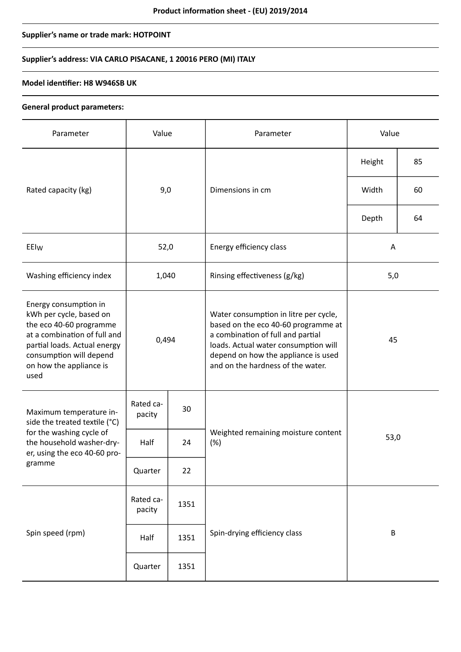# **Supplier's name or trade mark: HOTPOINT**

# **Supplier's address: VIA CARLO PISACANE, 1 20016 PERO (MI) ITALY**

### **Model identifier: H8 W946SB UK**

#### **General product parameters:**

| Parameter                                                                                                                                                                                                 | Value               |      | Parameter                                                                                                                                                                                                                             | Value   |    |
|-----------------------------------------------------------------------------------------------------------------------------------------------------------------------------------------------------------|---------------------|------|---------------------------------------------------------------------------------------------------------------------------------------------------------------------------------------------------------------------------------------|---------|----|
|                                                                                                                                                                                                           | 9,0                 |      | Dimensions in cm                                                                                                                                                                                                                      | Height  | 85 |
| Rated capacity (kg)                                                                                                                                                                                       |                     |      |                                                                                                                                                                                                                                       | Width   | 60 |
|                                                                                                                                                                                                           |                     |      |                                                                                                                                                                                                                                       | Depth   | 64 |
| EEIw                                                                                                                                                                                                      | 52,0                |      | Energy efficiency class                                                                                                                                                                                                               | Α       |    |
| Washing efficiency index                                                                                                                                                                                  | 1,040               |      | Rinsing effectiveness (g/kg)                                                                                                                                                                                                          | 5,0     |    |
| Energy consumption in<br>kWh per cycle, based on<br>the eco 40-60 programme<br>at a combination of full and<br>partial loads. Actual energy<br>consumption will depend<br>on how the appliance is<br>used | 0,494               |      | Water consumption in litre per cycle,<br>based on the eco 40-60 programme at<br>a combination of full and partial<br>loads. Actual water consumption will<br>depend on how the appliance is used<br>and on the hardness of the water. | 45      |    |
| Maximum temperature in-<br>side the treated textile (°C)<br>for the washing cycle of<br>the household washer-dry-<br>er, using the eco 40-60 pro-<br>gramme                                               | Rated ca-<br>pacity | 30   |                                                                                                                                                                                                                                       | 53,0    |    |
|                                                                                                                                                                                                           | Half                | 24   | Weighted remaining moisture content<br>(%)                                                                                                                                                                                            |         |    |
|                                                                                                                                                                                                           | Quarter             | 22   |                                                                                                                                                                                                                                       |         |    |
| Spin speed (rpm)                                                                                                                                                                                          | Rated ca-<br>pacity | 1351 |                                                                                                                                                                                                                                       | $\sf B$ |    |
|                                                                                                                                                                                                           | Half                | 1351 | Spin-drying efficiency class                                                                                                                                                                                                          |         |    |
|                                                                                                                                                                                                           | Quarter             | 1351 |                                                                                                                                                                                                                                       |         |    |